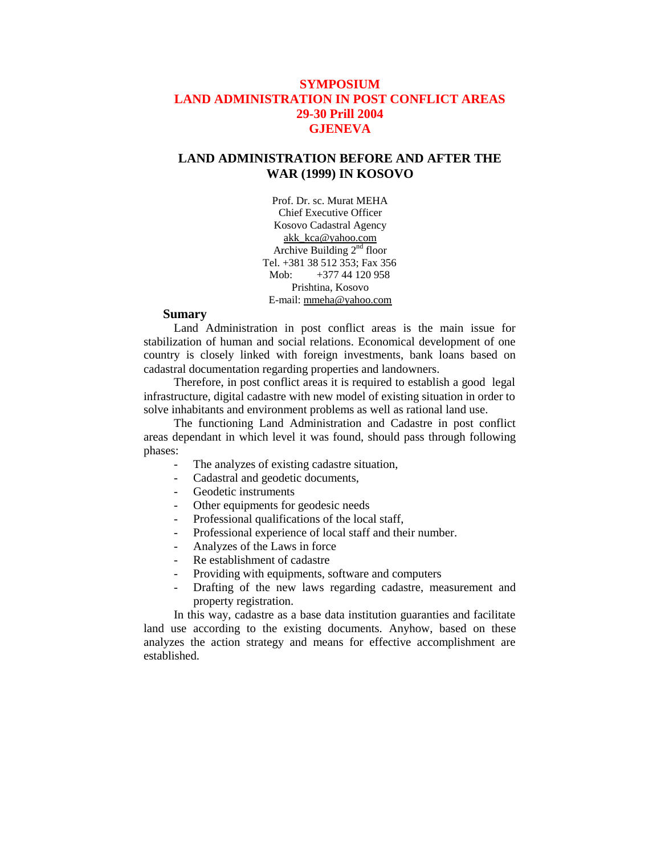# **SYMPOSIUM LAND ADMINISTRATION IN POST CONFLICT AREAS 29-30 Prill 2004 GJENEVA**

# **LAND ADMINISTRATION BEFORE AND AFTER THE WAR (1999) IN KOSOVO**

Prof. Dr. sc. Murat MEHA Chief Executive Officer Kosovo Cadastral Agency [akk\\_kca@yahoo.com](mailto:akk_kca@yahoo.com) Archive Building 2nd floor Tel. +381 38 512 353; Fax 356 Mob: +377 44 120 958 Prishtina, Kosovo E-mail: [mmeha@yahoo.com](mailto:mmeha@yahoo.com)

### **Sumary**

Land Administration in post conflict areas is the main issue for stabilization of human and social relations. Economical development of one country is closely linked with foreign investments, bank loans based on cadastral documentation regarding properties and landowners.

Therefore, in post conflict areas it is required to establish a good legal infrastructure, digital cadastre with new model of existing situation in order to solve inhabitants and environment problems as well as rational land use.

The functioning Land Administration and Cadastre in post conflict areas dependant in which level it was found, should pass through following phases:

- The analyzes of existing cadastre situation,
- Cadastral and geodetic documents,
- Geodetic instruments
- Other equipments for geodesic needs
- Professional qualifications of the local staff,
- Professional experience of local staff and their number.
- Analyzes of the Laws in force
- Re establishment of cadastre
- Providing with equipments, software and computers
- Drafting of the new laws regarding cadastre, measurement and property registration.

In this way, cadastre as a base data institution guaranties and facilitate land use according to the existing documents. Anyhow, based on these analyzes the action strategy and means for effective accomplishment are established.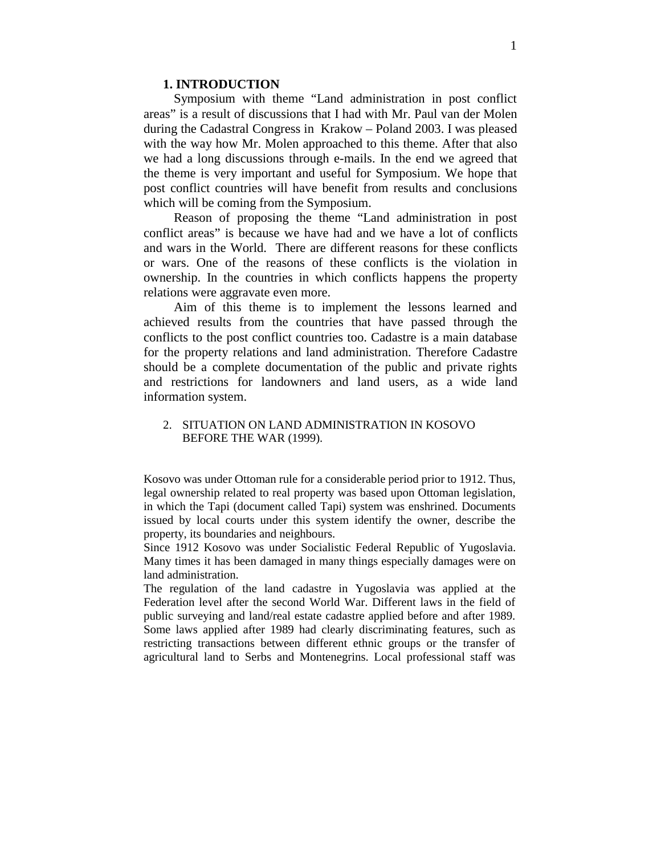### **1. INTRODUCTION**

Symposium with theme "Land administration in post conflict areas" is a result of discussions that I had with Mr. Paul van der Molen during the Cadastral Congress in Krakow – Poland 2003. I was pleased with the way how Mr. Molen approached to this theme. After that also we had a long discussions through e-mails. In the end we agreed that the theme is very important and useful for Symposium. We hope that post conflict countries will have benefit from results and conclusions which will be coming from the Symposium.

Reason of proposing the theme "Land administration in post conflict areas" is because we have had and we have a lot of conflicts and wars in the World. There are different reasons for these conflicts or wars. One of the reasons of these conflicts is the violation in ownership. In the countries in which conflicts happens the property relations were aggravate even more.

Aim of this theme is to implement the lessons learned and achieved results from the countries that have passed through the conflicts to the post conflict countries too. Cadastre is a main database for the property relations and land administration. Therefore Cadastre should be a complete documentation of the public and private rights and restrictions for landowners and land users, as a wide land information system.

## 2. SITUATION ON LAND ADMINISTRATION IN KOSOVO BEFORE THE WAR (1999).

Kosovo was under Ottoman rule for a considerable period prior to 1912. Thus, legal ownership related to real property was based upon Ottoman legislation, in which the Tapi (document called Tapi) system was enshrined. Documents issued by local courts under this system identify the owner, describe the property, its boundaries and neighbours.

Since 1912 Kosovo was under Socialistic Federal Republic of Yugoslavia. Many times it has been damaged in many things especially damages were on land administration.

The regulation of the land cadastre in Yugoslavia was applied at the Federation level after the second World War. Different laws in the field of public surveying and land/real estate cadastre applied before and after 1989. Some laws applied after 1989 had clearly discriminating features, such as restricting transactions between different ethnic groups or the transfer of agricultural land to Serbs and Montenegrins. Local professional staff was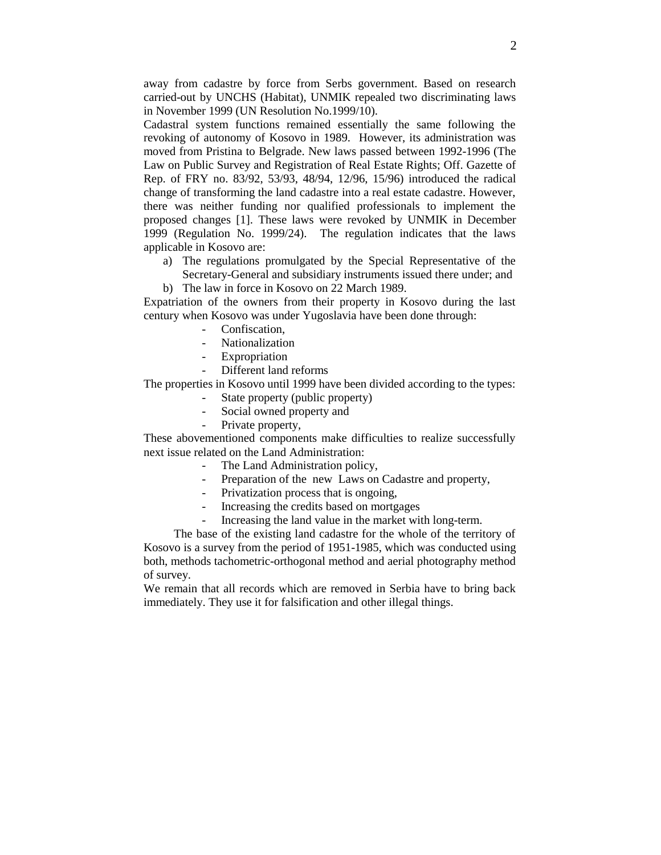away from cadastre by force from Serbs government. Based on research carried-out by UNCHS (Habitat), UNMIK repealed two discriminating laws in November 1999 (UN Resolution No.1999/10).

Cadastral system functions remained essentially the same following the revoking of autonomy of Kosovo in 1989. However, its administration was moved from Pristina to Belgrade. New laws passed between 1992-1996 (The Law on Public Survey and Registration of Real Estate Rights; Off. Gazette of Rep. of FRY no. 83/92, 53/93, 48/94, 12/96, 15/96) introduced the radical change of transforming the land cadastre into a real estate cadastre. However, there was neither funding nor qualified professionals to implement the proposed changes [1]. These laws were revoked by UNMIK in December 1999 (Regulation No. 1999/24). The regulation indicates that the laws applicable in Kosovo are:

- a) The regulations promulgated by the Special Representative of the Secretary-General and subsidiary instruments issued there under; and
- b) The law in force in Kosovo on 22 March 1989.

Expatriation of the owners from their property in Kosovo during the last century when Kosovo was under Yugoslavia have been done through:

- Confiscation.
- Nationalization
- Expropriation
- Different land reforms

The properties in Kosovo until 1999 have been divided according to the types:

- State property (public property)
- Social owned property and
- Private property,

These abovementioned components make difficulties to realize successfully next issue related on the Land Administration:

- The Land Administration policy,
- Preparation of the new Laws on Cadastre and property,
- Privatization process that is ongoing,
- Increasing the credits based on mortgages
- Increasing the land value in the market with long-term.

The base of the existing land cadastre for the whole of the territory of Kosovo is a survey from the period of 1951-1985, which was conducted using both, methods tachometric-orthogonal method and aerial photography method of survey.

We remain that all records which are removed in Serbia have to bring back immediately. They use it for falsification and other illegal things.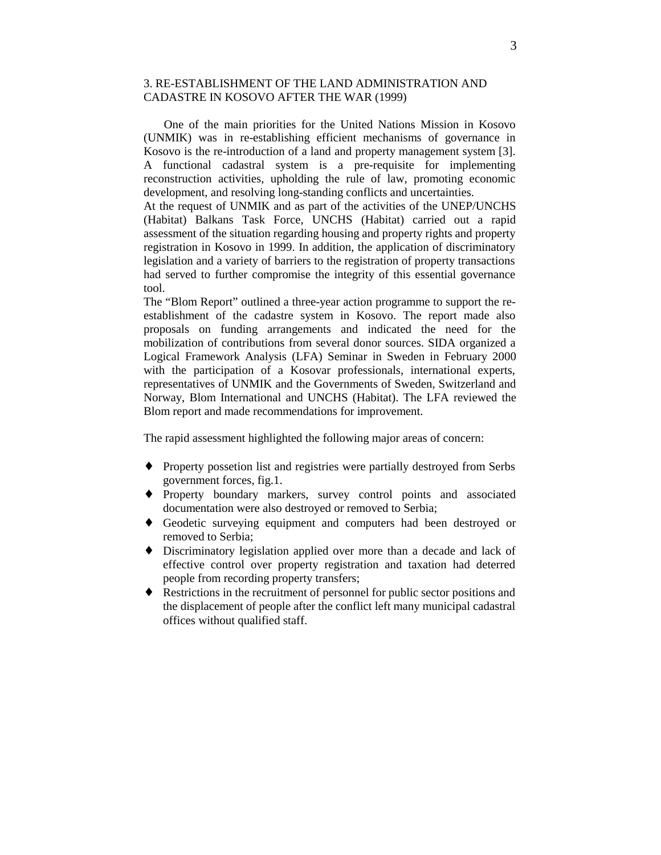## 3. RE-ESTABLISHMENT OF THE LAND ADMINISTRATION AND CADASTRE IN KOSOVO AFTER THE WAR (1999)

One of the main priorities for the United Nations Mission in Kosovo (UNMIK) was in re-establishing efficient mechanisms of governance in Kosovo is the re-introduction of a land and property management system [3]. A functional cadastral system is a pre-requisite for implementing reconstruction activities, upholding the rule of law, promoting economic development, and resolving long-standing conflicts and uncertainties.

At the request of UNMIK and as part of the activities of the UNEP/UNCHS (Habitat) Balkans Task Force, UNCHS (Habitat) carried out a rapid assessment of the situation regarding housing and property rights and property registration in Kosovo in 1999. In addition, the application of discriminatory legislation and a variety of barriers to the registration of property transactions had served to further compromise the integrity of this essential governance tool.

The "Blom Report" outlined a three-year action programme to support the reestablishment of the cadastre system in Kosovo. The report made also proposals on funding arrangements and indicated the need for the mobilization of contributions from several donor sources. SIDA organized a Logical Framework Analysis (LFA) Seminar in Sweden in February 2000 with the participation of a Kosovar professionals, international experts, representatives of UNMIK and the Governments of Sweden, Switzerland and Norway, Blom International and UNCHS (Habitat). The LFA reviewed the Blom report and made recommendations for improvement.

The rapid assessment highlighted the following major areas of concern:

- ♦ Property possetion list and registries were partially destroyed from Serbs government forces, fig.1.
- ♦ Property boundary markers, survey control points and associated documentation were also destroyed or removed to Serbia;
- ♦ Geodetic surveying equipment and computers had been destroyed or removed to Serbia;
- ♦ Discriminatory legislation applied over more than a decade and lack of effective control over property registration and taxation had deterred people from recording property transfers;
- ♦ Restrictions in the recruitment of personnel for public sector positions and the displacement of people after the conflict left many municipal cadastral offices without qualified staff.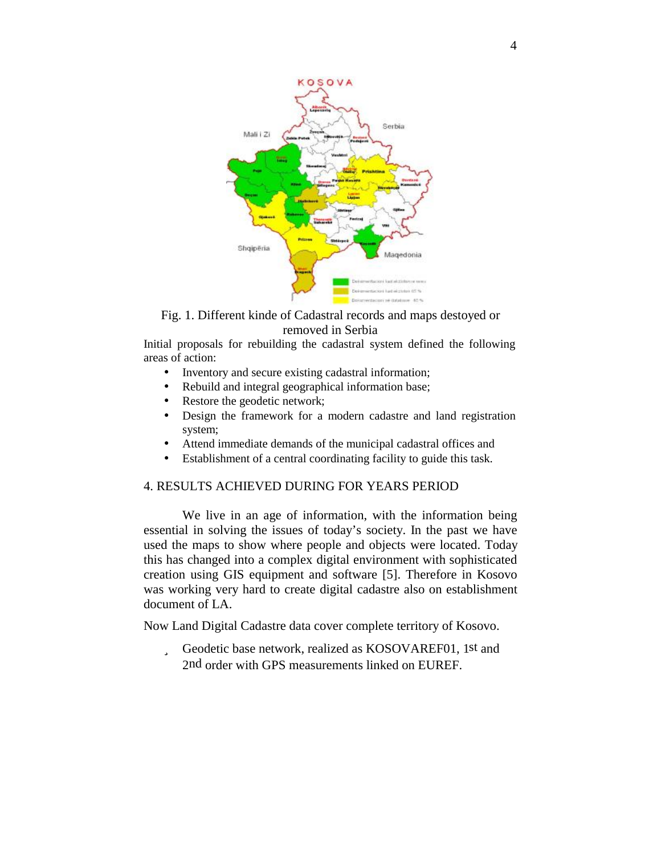

# Fig. 1. Different kinde of Cadastral records and maps destoyed or removed in Serbia

Initial proposals for rebuilding the cadastral system defined the following areas of action:

- Inventory and secure existing cadastral information;
- Rebuild and integral geographical information base;
- Restore the geodetic network;
- Design the framework for a modern cadastre and land registration system;
- Attend immediate demands of the municipal cadastral offices and
- Establishment of a central coordinating facility to guide this task.

# 4. RESULTS ACHIEVED DURING FOR YEARS PERIOD

We live in an age of information, with the information being essential in solving the issues of today's society. In the past we have used the maps to show where people and objects were located. Today this has changed into a complex digital environment with sophisticated creation using GIS equipment and software [5]. Therefore in Kosovo was working very hard to create digital cadastre also on establishment document of LA.

Now Land Digital Cadastre data cover complete territory of Kosovo.

ü Geodetic base network, realized as KOSOVAREF01, 1st and 2nd order with GPS measurements linked on EUREF.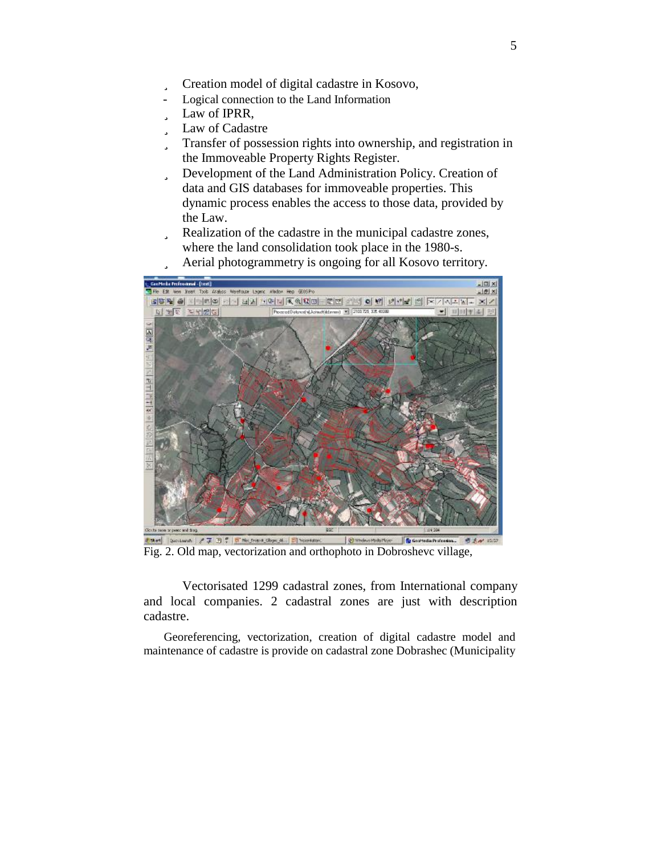- ü Creation model of digital cadastre in Kosovo,
- Logical connection to the Land Information
- ü Law of IPRR,
- ü Law of Cadastre
- ü Transfer of possession rights into ownership, and registration in the Immoveable Property Rights Register.
- ü Development of the Land Administration Policy. Creation of data and GIS databases for immoveable properties. This dynamic process enables the access to those data, provided by the Law.
- ü Realization of the cadastre in the municipal cadastre zones, where the land consolidation took place in the 1980-s.
- ü Aerial photogrammetry is ongoing for all Kosovo territory.



Fig. 2. Old map, vectorization and orthophoto in Dobroshevc village,

Vectorisated 1299 cadastral zones, from International company and local companies. 2 cadastral zones are just with description cadastre.

Georeferencing, vectorization, creation of digital cadastre model and maintenance of cadastre is provide on cadastral zone Dobrashec (Municipality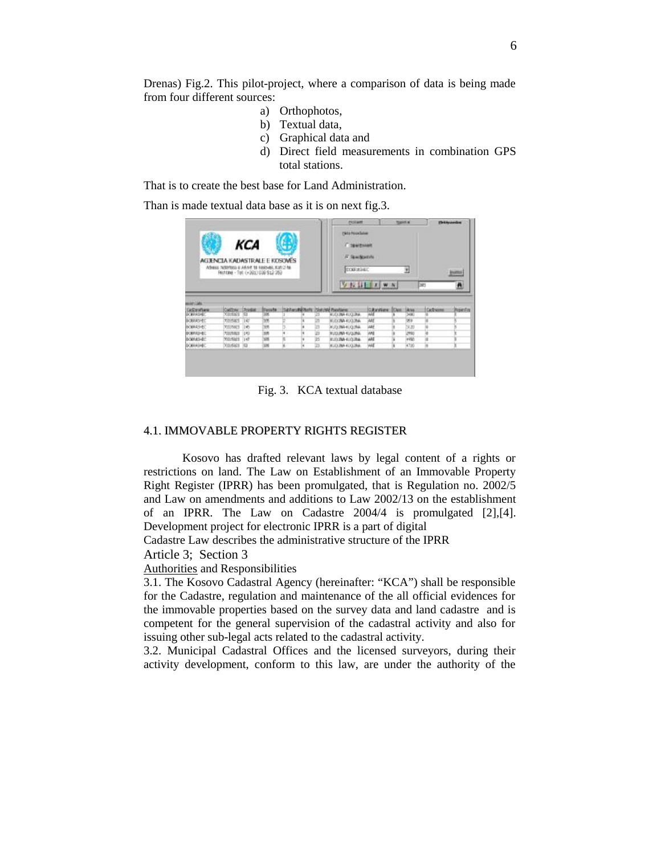Drenas) Fig.2. This pilot-project, where a comparison of data is being made from four different sources:

- a) Orthophotos,
- b) Textual data,
- c) Graphical data and
- d) Direct field measurements in combination GPS total stations.

That is to create the best base for Land Administration.

Than is made textual data base as it is on next fig.3.

| KCA<br>AGJENCIA KADASTRALE E KOSOWËS<br>Advests N391935 6 A65/C 18 FINOVIS, K35 2-16<br>Fechtine - Tol: (+361) 038 912 352 |                |               |               |   |             | Picklast<br><b>Napidial</b><br><b>Pieta Pouchater</b><br><b>C TEMPIRARY</b><br>F Spattostok<br>CORAGEO<br>푀 |              |  | <b>Histographics</b><br>$\frac{1}{2}$ |             |           |
|----------------------------------------------------------------------------------------------------------------------------|----------------|---------------|---------------|---|-------------|-------------------------------------------------------------------------------------------------------------|--------------|--|---------------------------------------|-------------|-----------|
|                                                                                                                            |                |               |               |   |             |                                                                                                             | VIIIIIWN     |  |                                       | <b>DIES</b> | Ä         |
|                                                                                                                            |                |               |               |   |             |                                                                                                             |              |  |                                       |             |           |
| <b>MARCHERS</b><br>Cadimaliana                                                                                             | Cattres        | <b>Folder</b> | <b>Docume</b> |   |             | Sativoral Roth Satisfi Rentare                                                                              | Okvirine Das |  | <b>Jacks</b>                          | Callbanne   | ProverFit |
| <b>DOM/AGE</b>                                                                                                             | <b>COHECO</b>  | 153           | W.            |   |             | KLOLINA KUZLINA                                                                                             | ж            |  | <b>SHAR</b>                           |             |           |
| <b>BOMASHED</b>                                                                                                            | <b>YO HAKE</b> | TEXT          | w             |   |             | ALCOMMEDIAN                                                                                                 | мŧ           |  | w                                     |             |           |
|                                                                                                                            | TOLENICE       | II            | 395           |   | lzo         | KUQUNA KUQUNA                                                                                               | мě           |  | 3120                                  |             |           |
| <b>BOBRASHED</b><br>DOMESTIC:                                                                                              | <b>TAITEET</b> | (4)           | 3B            | × | $\sim$<br>w | KUGUWA-KUGUMAL                                                                                              | ME           |  | 259                                   |             |           |
| <b>BORRASHED</b>                                                                                                           | Mirlan 147     |               | 9K            |   | Β           | KUDUNG KUDUNG.                                                                                              | ME           |  | 4990                                  |             |           |

Fig. 3. KCA textual database

### 4.1. IMMOVABLE PROPERTY RIGHTS REGISTER

Kosovo has drafted relevant laws by legal content of a rights or restrictions on land. The Law on Establishment of an Immovable Property Right Register (IPRR) has been promulgated, that is Regulation no. 2002/5 and Law on amendments and additions to Law 2002/13 on the establishment of an IPRR. The Law on Cadastre 2004/4 is promulgated [2],[4]. Development project for electronic IPRR is a part of digital

Cadastre Law describes the administrative structure of the IPRR

Article 3; Section 3

#### Authorities and Responsibilities

3.1. The Kosovo Cadastral Agency (hereinafter: "KCA") shall be responsible for the Cadastre, regulation and maintenance of the all official evidences for the immovable properties based on the survey data and land cadastre and is competent for the general supervision of the cadastral activity and also for issuing other sub-legal acts related to the cadastral activity.

3.2. Municipal Cadastral Offices and the licensed surveyors, during their activity development, conform to this law, are under the authority of the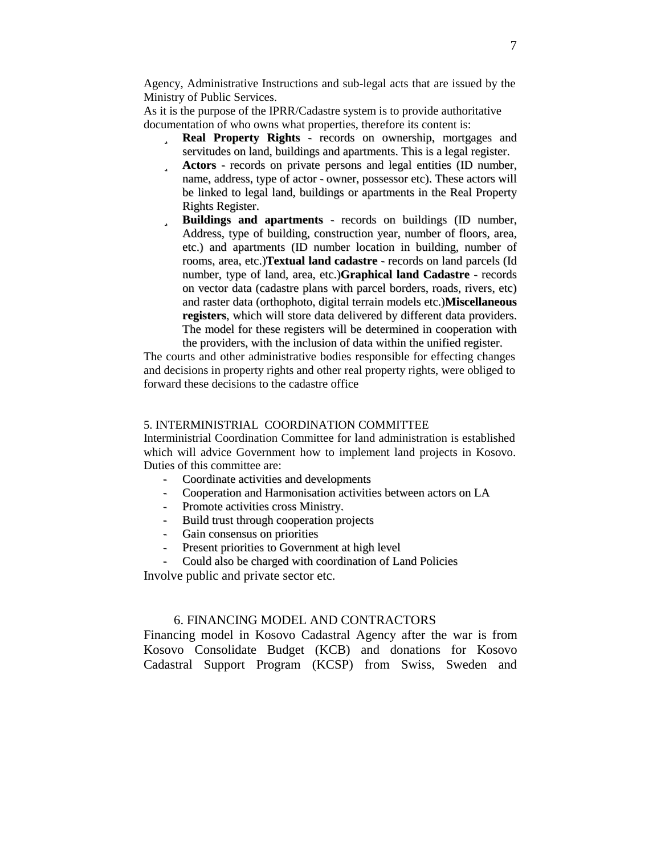Agency, Administrative Instructions and sub-legal acts that are issued by the Ministry of Public Services.

As it is the purpose of the IPRR/Cadastre system is to provide authoritative documentation of who owns what properties, therefore its content is:

- ü **Real Property Rights** records on ownership, mortgages and servitudes on land, buildings and apartments. This is a legal register.
- ü **Actors** records on private persons and legal entities (ID number, name, address, type of actor - owner, possessor etc). These actors will be linked to legal land, buildings or apartments in the Real Property Rights Register.
- ü **Buildings and apartments** records on buildings (ID number, Address, type of building, construction year, number of floors, area, etc.) and apartments (ID number location in building, number of rooms, area, etc.)**Textual land cadastre** - records on land parcels (Id number, type of land, area, etc.)**Graphical land Cadastre** - records on vector data (cadastre plans with parcel borders, roads, rivers, etc) and raster data (orthophoto, digital terrain models etc.)**Miscellaneous registers**, which will store data delivered by different data providers. The model for these registers will be determined in cooperation with the providers, with the inclusion of data within the unified register.

The courts and other administrative bodies responsible for effecting changes and decisions in property rights and other real property rights, were obliged to forward these decisions to the cadastre office

### 5. INTERMINISTRIAL COORDINATION COMMITTEE

Interministrial Coordination Committee for land administration is established which will advice Government how to implement land projects in Kosovo. Duties of this committee are:

- Coordinate activities and developments
- Cooperation and Harmonisation activities between actors on LA
- Promote activities cross Ministry.
- Build trust through cooperation projects
- Gain consensus on priorities
- Present priorities to Government at high level
- Could also be charged with coordination of Land Policies

Involve public and private sector etc.

## 6. FINANCING MODEL AND CONTRACTORS

Financing model in Kosovo Cadastral Agency after the war is from Kosovo Consolidate Budget (KCB) and donations for Kosovo Cadastral Support Program (KCSP) from Swiss, Sweden and